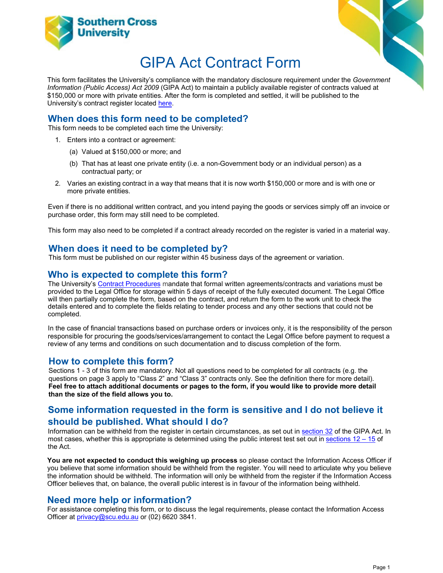



# GIPA Act Contract Form

This form facilitates the University's compliance with the mandatory disclosure requirement under the *Government Information (Public Access) Act 2009* (GIPA Act) to maintain a publicly available register of contracts valued at \$150,000 or more with private entities. After the form is completed and settled, it will be published to the University's contract register located [here.](https://www.scu.edu.au/staff/legal-office/access-to-information/gipa-act-contract-register/)

#### **When does this form need to be completed?**

This form needs to be completed each time the University:

- 1. Enters into a contract or agreement:
	- (a) Valued at \$150,000 or more; and
	- (b) That has at least one private entity (i.e. a non-Government body or an individual person) as a contractual party; or
- 2. Varies an existing contract in a way that means that it is now worth \$150,000 or more and is with one or more private entities.

Even if there is no additional written contract, and you intend paying the goods or services simply off an invoice or purchase order, this form may still need to be completed.

This form may also need to be completed if a contract already recorded on the register is varied in a material way.

#### **When does it need to be completed by?**

This form must be published on our register within 45 business days of the agreement or variation.

#### **Who is expected to complete this form?**

The University's [Contract Procedures](https://policies.scu.edu.au/document/view-current.php?id=218) mandate that formal written agreements/contracts and variations must be provided to the Legal Office for storage within 5 days of receipt of the fully executed document. The Legal Office will then partially complete the form, based on the contract, and return the form to the work unit to check the details entered and to complete the fields relating to tender process and any other sections that could not be completed.

In the case of financial transactions based on purchase orders or invoices only, it is the responsibility of the person responsible for procuring the goods/services/arrangement to contact the Legal Office before payment to request a review of any terms and conditions on such documentation and to discuss completion of the form.

#### **How to complete this form?**

Sections 1 - 3 of this form are mandatory. Not all questions need to be completed for all contracts (e.g. the questions on page 3 apply to "Class 2" and "Class 3" contracts only. See the definition there for more detail). **Feel free to attach additional documents or pages to the form, if you would like to provide more detail than the size of the field allows you to.** 

### **Some information requested in the form is sensitive and I do not believe it should be published. What should I do?**

Information can be withheld from the register in certain circumstances, as set out in [section 32](https://www.legislation.nsw.gov.au/view/html/inforce/current/act-2009-052#sec.32) of the GIPA Act. In most cases, whether this is appropriate is determined using the public interest test set out in [sections](https://www.legislation.nsw.gov.au/view/html/inforce/current/act-2009-052#pt.2-div.2) 12 – 15 of the Act.

**You are not expected to conduct this weighing up process** so please contact the Information Access Officer if you believe that some information should be withheld from the register. You will need to articulate why you believe the information should be withheld. The information will only be withheld from the register if the Information Access Officer believes that, on balance, the overall public interest is in favour of the information being withheld.

#### **Need more help or information?**

For assistance completing this form, or to discuss the legal requirements, please contact the Information Access Officer at privacy@scu.edu.au or (02) 6620 3841.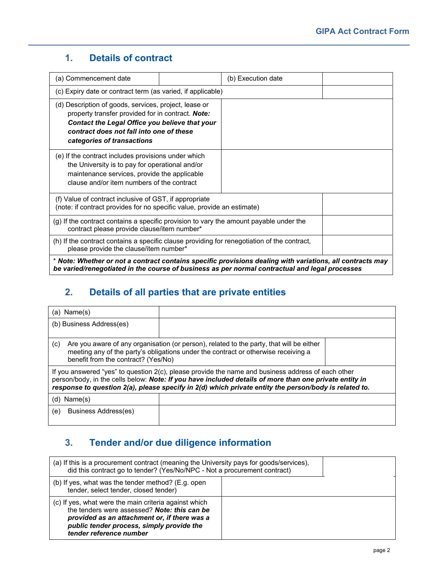## **1. Details of contract**

| (a) Commencement date                                                                                                                                                                                                                  |  | (b) Execution date |  |  |
|----------------------------------------------------------------------------------------------------------------------------------------------------------------------------------------------------------------------------------------|--|--------------------|--|--|
| (c) Expiry date or contract term (as varied, if applicable)                                                                                                                                                                            |  |                    |  |  |
| (d) Description of goods, services, project, lease or<br>property transfer provided for in contract. Note:<br>Contact the Legal Office you believe that your<br>contract does not fall into one of these<br>categories of transactions |  |                    |  |  |
| (e) If the contract includes provisions under which<br>the University is to pay for operational and/or<br>maintenance services, provide the applicable<br>clause and/or item numbers of the contract                                   |  |                    |  |  |
| (f) Value of contract inclusive of GST, if appropriate<br>(note: if contract provides for no specific value, provide an estimate)                                                                                                      |  |                    |  |  |
| (g) If the contract contains a specific provision to vary the amount payable under the<br>contract please provide clause/item number*                                                                                                  |  |                    |  |  |
| (h) If the contract contains a specific clause providing for renegotiation of the contract,<br>please provide the clause/item number*                                                                                                  |  |                    |  |  |
| * Note: Whether or not a contract contains specific provisions dealing with variations, all contracts may<br>be varied/renegotiated in the course of business as per normal contractual and legal processes                            |  |                    |  |  |

## **2. Details of all parties that are private entities**

| (a) Name(s)                                                                                                                                                                                                                                                                                                           |  |  |  |
|-----------------------------------------------------------------------------------------------------------------------------------------------------------------------------------------------------------------------------------------------------------------------------------------------------------------------|--|--|--|
| (b) Business Address(es)                                                                                                                                                                                                                                                                                              |  |  |  |
| Are you aware of any organisation (or person), related to the party, that will be either<br>(c)<br>meeting any of the party's obligations under the contract or otherwise receiving a<br>benefit from the contract? (Yes/No)                                                                                          |  |  |  |
| If you answered "yes" to question 2(c), please provide the name and business address of each other<br>person/body, in the cells below: Note: If you have included details of more than one private entity in<br>response to question 2(a), please specify in 2(d) which private entity the person/body is related to. |  |  |  |
| $(d)$ Name $(s)$                                                                                                                                                                                                                                                                                                      |  |  |  |
| (e)<br>Business Address(es)                                                                                                                                                                                                                                                                                           |  |  |  |

# **3. Tender and/or due diligence information**

| (a) If this is a procurement contract (meaning the University pays for goods/services),<br>did this contract go to tender? (Yes/No/NPC - Not a procurement contract)                                                          |  |
|-------------------------------------------------------------------------------------------------------------------------------------------------------------------------------------------------------------------------------|--|
| (b) If yes, what was the tender method? (E.g. open<br>tender, select tender, closed tender)                                                                                                                                   |  |
| (c) If yes, what were the main criteria against which<br>the tenders were assessed? Note: this can be<br>provided as an attachment or, if there was a<br>public tender process, simply provide the<br>tender reference number |  |